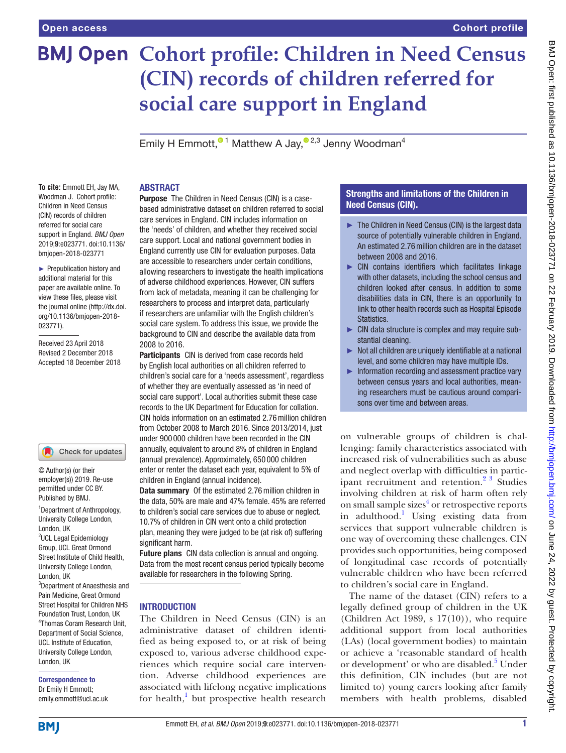# **BMJ Open Cohort profile: Children in Need Census (CIN) records of children referred for social care support in England**

Emily H Emmott.<sup> $01$ </sup> Matthew A Jay[,](http://orcid.org/0000-0003-2481-7755)  $02,3$  Jenny Woodman<sup>4</sup>

#### **To cite:** Emmott EH, Jay MA, Woodman J. Cohort profile: Children in Need Census (CIN) records of children referred for social care support in England. *BMJ Open* 2019;9:e023771. doi:10.1136/ bmjopen-2018-023771

► Prepublication history and additional material for this paper are available online. To view these files, please visit the journal online [\(http://dx.doi.](http://dx.doi.org/10.1136/bmjopen-2018-023771) [org/10.1136/bmjopen-2018-](http://dx.doi.org/10.1136/bmjopen-2018-023771) [023771\)](http://dx.doi.org/10.1136/bmjopen-2018-023771).

Received 23 April 2018 Revised 2 December 2018 Accepted 18 December 2018

#### Check for updates

© Author(s) (or their employer(s)) 2019. Re-use permitted under CC BY. Published by BMJ.

1 Department of Anthropology, University College London, London, UK

<sup>2</sup>UCL Legal Epidemiology Group, UCL Great Ormond Street Institute of Child Health, University College London, London, UK

3 Department of Anaesthesia and Pain Medicine, Great Ormond Street Hospital for Children NHS Foundation Trust, London, UK 4 Thomas Coram Research Unit, Department of Social Science, UCL Institute of Education, University College London, London, UK

## Correspondence to Dr Emily H Emmott;

emily.emmott@ucl.ac.uk

## **ABSTRACT**

Purpose The Children in Need Census (CIN) is a casebased administrative dataset on children referred to social care services in England. CIN includes information on the 'needs' of children, and whether they received social care support. Local and national government bodies in England currently use CIN for evaluation purposes. Data are accessible to researchers under certain conditions, allowing researchers to investigate the health implications of adverse childhood experiences. However, CIN suffers from lack of metadata, meaning it can be challenging for researchers to process and interpret data, particularly if researchers are unfamiliar with the English children's social care system. To address this issue, we provide the background to CIN and describe the available data from 2008 to 2016.

Participants CIN is derived from case records held by English local authorities on all children referred to children's social care for a 'needs assessment', regardless of whether they are eventually assessed as 'in need of social care support'. Local authorities submit these case records to the UK Department for Education for collation. CIN holds information on an estimated 2.76million children from October 2008 to March 2016. Since 2013/2014, just under 900 000 children have been recorded in the CIN annually, equivalent to around 8% of children in England (annual prevalence). Approximately, 650 000 children enter or renter the dataset each year, equivalent to 5% of children in England (annual incidence).

Data summary Of the estimated 2.76 million children in the data, 50% are male and 47% female. 45% are referred to children's social care services due to abuse or neglect. 10.7% of children in CIN went onto a child protection plan, meaning they were judged to be (at risk of) suffering significant harm.

Future plans CIN data collection is annual and ongoing. Data from the most recent census period typically become available for researchers in the following Spring.

## **INTRODUCTION**

The Children in Need Census (CIN) is an administrative dataset of children identified as being exposed to, or at risk of being exposed to, various adverse childhood experiences which require social care intervention. Adverse childhood experiences are associated with lifelong negative implications for health,<sup>1</sup> but prospective health research

## Strengths and limitations of the Children in Need Census (CIN).

- ► The Children in Need Census (CIN) is the largest data source of potentially vulnerable children in England. An estimated 2.76million children are in the dataset between 2008 and 2016.
- ► CIN contains identifiers which facilitates linkage with other datasets, including the school census and children looked after census. In addition to some disabilities data in CIN, there is an opportunity to link to other health records such as Hospital Episode Statistics.
- ► CIN data structure is complex and may require substantial cleaning.
- ► Not all children are uniquely identifiable at a national level, and some children may have multiple IDs.
- ► Information recording and assessment practice vary between census years and local authorities, meaning researchers must be cautious around comparisons over time and between areas.

on vulnerable groups of children is challenging: family characteristics associated with increased risk of vulnerabilities such as abuse and neglect overlap with difficulties in participant recruitment and retention.<sup>2</sup><sup>3</sup> Studies involving children at risk of harm often rely on small sample sizes<sup>4</sup> or retrospective reports in adulthood.<sup>[1](#page-8-0)</sup> Using existing data from services that support vulnerable children is one way of overcoming these challenges. CIN provides such opportunities, being composed of longitudinal case records of potentially vulnerable children who have been referred to children's social care in England.

The name of the dataset (CIN) refers to a legally defined group of children in the UK (Children Act 1989, s  $17(10)$ ), who require additional support from local authorities (LAs) (local government bodies) to maintain or achieve a 'reasonable standard of health or development' or who are disabled.<sup>5</sup> Under this definition, CIN includes (but are not limited to) young carers looking after family members with health problems, disabled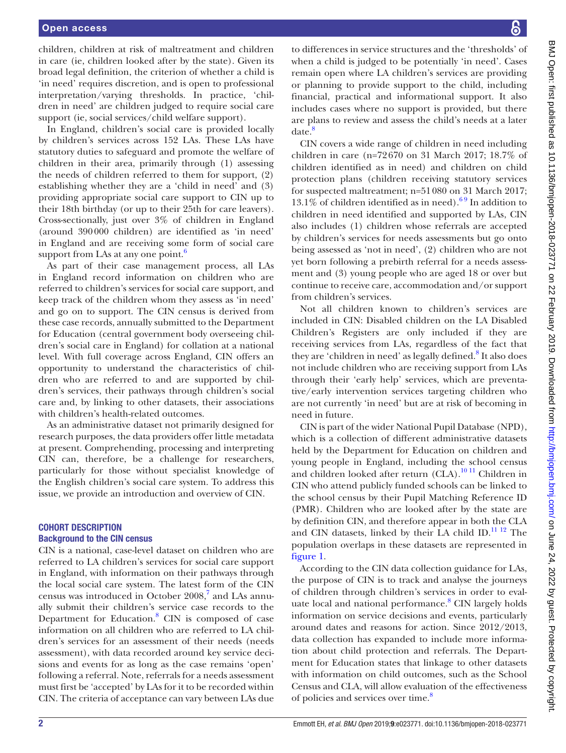children, children at risk of maltreatment and children in care (ie, children looked after by the state). Given its broad legal definition, the criterion of whether a child is 'in need' requires discretion, and is open to professional interpretation/varying thresholds. In practice, 'children in need' are children judged to require social care support (ie, social services/child welfare support).

In England, children's social care is provided locally by children's services across 152 LAs. These LAs have statutory duties to safeguard and promote the welfare of children in their area, primarily through (1) assessing the needs of children referred to them for support, (2) establishing whether they are a 'child in need' and (3) providing appropriate social care support to CIN up to their 18th birthday (or up to their 25th for care leavers). Cross-sectionally, just over 3% of children in England (around 390000 children) are identified as 'in need' in England and are receiving some form of social care support from LAs at any one point. $6$ 

As part of their case management process, all LAs in England record information on children who are referred to children's services for social care support, and keep track of the children whom they assess as 'in need' and go on to support. The CIN census is derived from these case records, annually submitted to the Department for Education (central government body overseeing children's social care in England) for collation at a national level. With full coverage across England, CIN offers an opportunity to understand the characteristics of children who are referred to and are supported by children's services, their pathways through children's social care and, by linking to other datasets, their associations with children's health-related outcomes.

As an administrative dataset not primarily designed for research purposes, the data providers offer little metadata at present. Comprehending, processing and interpreting CIN can, therefore, be a challenge for researchers, particularly for those without specialist knowledge of the English children's social care system. To address this issue, we provide an introduction and overview of CIN.

## Cohort description Background to the CIN census

CIN is a national, case-level dataset on children who are referred to LA children's services for social care support in England, with information on their pathways through the local social care system. The latest form of the CIN census was introduced in October 2008,<sup>7</sup> and LAs annually submit their children's service case records to the Department for Education.<sup>[8](#page-8-6)</sup> CIN is composed of case information on all children who are referred to LA children's services for an assessment of their needs (needs assessment), with data recorded around key service decisions and events for as long as the case remains 'open' following a referral. Note, referrals for a needs assessment must first be 'accepted' by LAs for it to be recorded within CIN. The criteria of acceptance can vary between LAs due

to differences in service structures and the 'thresholds' of when a child is judged to be potentially 'in need'. Cases remain open where LA children's services are providing or planning to provide support to the child, including financial, practical and informational support. It also includes cases where no support is provided, but there are plans to review and assess the child's needs at a later date.<sup>8</sup>

CIN covers a wide range of children in need including children in care (n=72670 on 31 March 2017; 18.7% of children identified as in need) and children on child protection plans (children receiving statutory services for suspected maltreatment; n=51080 on 31 March 2017;  $13.1\%$  of children identified as in need).<sup>69</sup> In addition to children in need identified and supported by LAs, CIN also includes (1) children whose referrals are accepted by children's services for needs assessments but go onto being assessed as 'not in need', (2) children who are not yet born following a prebirth referral for a needs assessment and (3) young people who are aged 18 or over but continue to receive care, accommodation and/or support from children's services.

Not all children known to children's services are included in CIN: Disabled children on the LA Disabled Children's Registers are only included if they are receiving services from LAs, regardless of the fact that they are 'children in need' as legally defined.<sup>[8](#page-8-6)</sup> It also does not include children who are receiving support from LAs through their 'early help' services, which are preventative/early intervention services targeting children who are not currently 'in need' but are at risk of becoming in need in future.

CIN is part of the wider National Pupil Database (NPD), which is a collection of different administrative datasets held by the Department for Education on children and young people in England, including the school census and children looked after return  $(CLA).^{1011}$  Children in CIN who attend publicly funded schools can be linked to the school census by their Pupil Matching Reference ID (PMR). Children who are looked after by the state are by definition CIN, and therefore appear in both the CLA and CIN datasets, linked by their LA child ID. $^{11}$  12 The population overlaps in these datasets are represented in [figure](#page-2-0) 1.

According to the CIN data collection guidance for LAs, the purpose of CIN is to track and analyse the journeys of children through children's services in order to evaluate local and national performance.<sup>8</sup> CIN largely holds information on service decisions and events, particularly around dates and reasons for action. Since 2012/2013, data collection has expanded to include more information about child protection and referrals. The Department for Education states that linkage to other datasets with information on child outcomes, such as the School Census and CLA, will allow evaluation of the effectiveness of policies and services over time.<sup>8</sup>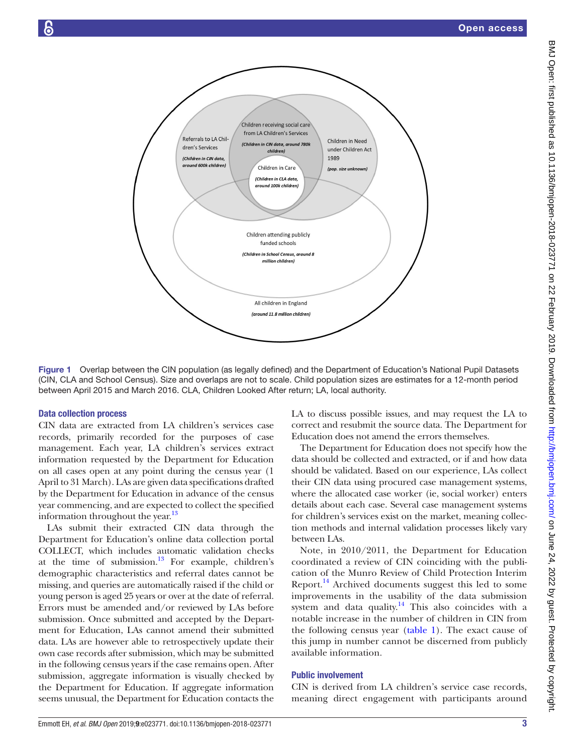

<span id="page-2-0"></span>Figure 1 Overlap between the CIN population (as legally defined) and the Department of Education's National Pupil Datasets (CIN, CLA and School Census). Size and overlaps are not to scale. Child population sizes are estimates for a 12-month period between April 2015 and March 2016. CLA, Children Looked After return; LA, local authority.

#### Data collection process

CIN data are extracted from LA children's services case records, primarily recorded for the purposes of case management. Each year, LA children's services extract information requested by the Department for Education on all cases open at any point during the census year (1 April to 31 March). LAs are given data specifications drafted by the Department for Education in advance of the census year commencing, and are expected to collect the specified information throughout the year.<sup>13</sup>

LAs submit their extracted CIN data through the Department for Education's online data collection portal COLLECT, which includes automatic validation checks at the time of submission. $13$  For example, children's demographic characteristics and referral dates cannot be missing, and queries are automatically raised if the child or young person is aged 25 years or over at the date of referral. Errors must be amended and/or reviewed by LAs before submission. Once submitted and accepted by the Department for Education, LAs cannot amend their submitted data. LAs are however able to retrospectively update their own case records after submission, which may be submitted in the following census years if the case remains open. After submission, aggregate information is visually checked by the Department for Education. If aggregate information seems unusual, the Department for Education contacts the

LA to discuss possible issues, and may request the LA to correct and resubmit the source data. The Department for Education does not amend the errors themselves.

The Department for Education does not specify how the data should be collected and extracted, or if and how data should be validated. Based on our experience, LAs collect their CIN data using procured case management systems, where the allocated case worker (ie, social worker) enters details about each case. Several case management systems for children's services exist on the market, meaning collection methods and internal validation processes likely vary between LAs.

Note, in 2010/2011, the Department for Education coordinated a review of CIN coinciding with the publication of the Munro Review of Child Protection Interim Report.<sup>14</sup> Archived documents suggest this led to some improvements in the usability of the data submission system and data quality.<sup>14</sup> This also coincides with a notable increase in the number of children in CIN from the following census year [\(table](#page-3-0) 1). The exact cause of this jump in number cannot be discerned from publicly available information.

## Public involvement

CIN is derived from LA children's service case records, meaning direct engagement with participants around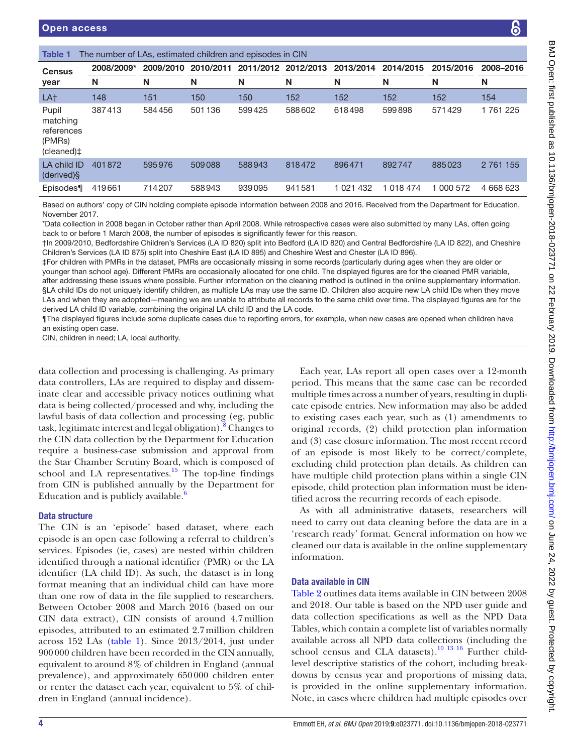<span id="page-3-0"></span>

| <b>Census</b>                                              | 2008/2009*                                                                                                                                                                                                                                                                                                                                                                          |        |        |        | 2009/2010 2010/2011 2011/2012 2012/2013 2013/2014 |           | 2014/2015 | 2015/2016 | 2008-2016 |
|------------------------------------------------------------|-------------------------------------------------------------------------------------------------------------------------------------------------------------------------------------------------------------------------------------------------------------------------------------------------------------------------------------------------------------------------------------|--------|--------|--------|---------------------------------------------------|-----------|-----------|-----------|-----------|
| year                                                       | N                                                                                                                                                                                                                                                                                                                                                                                   | N      | N      | N      | N                                                 | N         | N         | N         | N         |
| LA <sup>+</sup>                                            | 148                                                                                                                                                                                                                                                                                                                                                                                 | 151    | 150    | 150    | 152                                               | 152       | 152       | 152       | 154       |
| Pupil<br>matching<br>references<br>(PMRs)<br>$(cleaned)$ ‡ | 387413                                                                                                                                                                                                                                                                                                                                                                              | 584456 | 501136 | 599425 | 588602                                            | 618498    | 599898    | 571429    | 1761225   |
| LA child ID<br>(derived)§                                  | 401872                                                                                                                                                                                                                                                                                                                                                                              | 595976 | 509088 | 588943 | 818472                                            | 896471    | 892747    | 885023    | 2 761 155 |
| Episodes¶                                                  | 419661                                                                                                                                                                                                                                                                                                                                                                              | 714207 | 588943 | 939095 | 941581                                            | 1 021 432 | 1 018 474 | 1 000 572 | 4 668 623 |
| November 2017.                                             | Based on authors' copy of CIN holding complete episode information between 2008 and 2016. Received from the Department for Education,<br>*Data collection in 2008 began in October rather than April 2008. While retrospective cases were also submitted by many LAs, often going<br>back to or before 1 March 2008, the number of episodes is significantly fewer for this reason. |        |        |        |                                                   |           |           |           |           |

†In 2009/2010, Bedfordshire Children's Services (LA ID 820) split into Bedford (LA ID 820) and Central Bedfordshire (LA ID 822), and Cheshire Children's Services (LA ID 875) split into Cheshire East (LA ID 895) and Cheshire West and Chester (LA ID 896).

‡For children with PMRs in the dataset, PMRs are occasionally missing in some records (particularly during ages when they are older or younger than school age). Different PMRs are occasionally allocated for one child. The displayed figures are for the cleaned PMR variable, after addressing these issues where possible. Further information on the cleaning method is outlined in the online [supplementary information](https://dx.doi.org/10.1136/bmjopen-2018-023771). §LA child IDs do not uniquely identify children, as multiple LAs may use the same ID. Children also acquire new LA child IDs when they move LAs and when they are adopted—meaning we are unable to attribute all records to the same child over time. The displayed figures are for the derived LA child ID variable, combining the original LA child ID and the LA code.

¶The displayed figures include some duplicate cases due to reporting errors, for example, when new cases are opened when children have an existing open case.

CIN, children in need; LA, local authority.

data collection and processing is challenging. As primary data controllers, LAs are required to display and disseminate clear and accessible privacy notices outlining what data is being collected/processed and why, including the lawful basis of data collection and processing (eg, public task, legitimate interest and legal obligation).<sup>[8](#page-8-6)</sup> Changes to the CIN data collection by the Department for Education require a business-case submission and approval from the Star Chamber Scrutiny Board, which is composed of school and LA representatives. $15$  The top-line findings from CIN is published annually by the Department for Education and is publicly available[.6](#page-8-4)

## Data structure

The CIN is an 'episode' based dataset, where each episode is an open case following a referral to children's services. Episodes (ie, cases) are nested within children identified through a national identifier (PMR) or the LA identifier (LA child ID). As such, the dataset is in long format meaning that an individual child can have more than one row of data in the file supplied to researchers. Between October 2008 and March 2016 (based on our CIN data extract), CIN consists of around 4.7million episodes, attributed to an estimated 2.7million children across 152 LAs ([table](#page-3-0) 1). Since 2013/2014, just under 900000 children have been recorded in the CIN annually, equivalent to around 8% of children in England (annual prevalence), and approximately 650000 children enter or renter the dataset each year, equivalent to 5% of children in England (annual incidence).

Each year, LAs report all open cases over a 12-month period. This means that the same case can be recorded multiple times across a number of years, resulting in duplicate episode entries. New information may also be added to existing cases each year, such as (1) amendments to original records, (2) child protection plan information and (3) case closure information. The most recent record of an episode is most likely to be correct/complete, excluding child protection plan details. As children can have multiple child protection plans within a single CIN episode, child protection plan information must be identified across the recurring records of each episode.

As with all administrative datasets, researchers will need to carry out data cleaning before the data are in a 'research ready' format. General information on how we cleaned our data is available in the online [supplementary](https://dx.doi.org/10.1136/bmjopen-2018-023771)  [information](https://dx.doi.org/10.1136/bmjopen-2018-023771).

## Data available in CIN

[Table](#page-4-0) 2 outlines data items available in CIN between 2008 and 2018. Our table is based on the NPD user guide and data collection specifications as well as the NPD Data Tables, which contain a complete list of variables normally available across all NPD data collections (including the school census and CLA datasets).<sup>[10 13 16](#page-8-7)</sup> Further childlevel descriptive statistics of the cohort, including breakdowns by census year and proportions of missing data, is provided in the online supplementary information. Note, in cases where children had multiple episodes over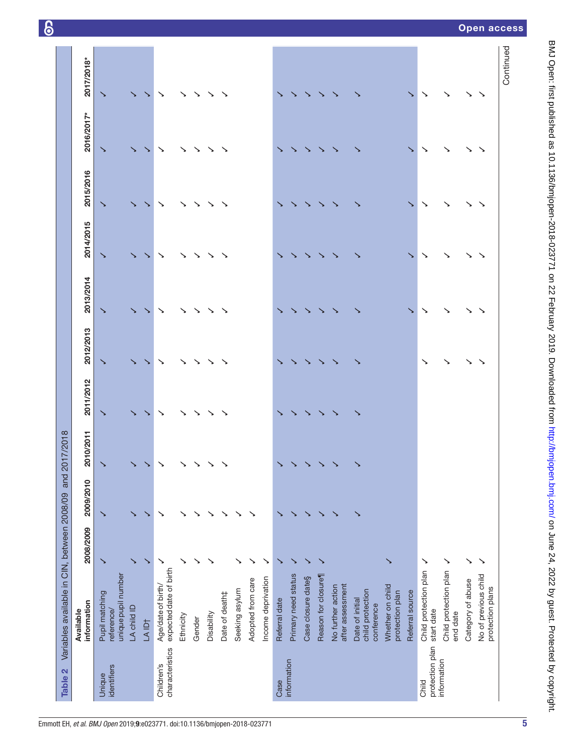<span id="page-4-0"></span>

| Table 2                       | Variables available in CIN, between 2008/09         |              | and 2     | 017/2018     |           |           |           |           |           |            |            |
|-------------------------------|-----------------------------------------------------|--------------|-----------|--------------|-----------|-----------|-----------|-----------|-----------|------------|------------|
|                               | information<br>Available                            | 2008/2009    | 2009/2010 | 2010/2011    | 2011/2012 | 2012/2013 | 2013/2014 | 2014/2015 | 2015/2016 | 2016/2017* | 2017/2018* |
| identifiers<br>Unique         | unique pupil number<br>Pupil matching<br>reference/ | ↘            | ↘         | $\checkmark$ | ↘         | ↘         | ↘         | ↘         | ↘         | ↘          | ↘          |
|                               | LA child ID                                         |              |           |              |           |           |           |           |           |            |            |
|                               | LA ID†                                              | ↘            | ↘         | ↘            |           |           |           | ↘         | ↘         | ↘          | ↘          |
| characteristics<br>Children's | expected date of birth<br>Age/date of birth/        | ↘            | ↘         | $\checkmark$ | ↘         | ↘         | ↘         | ↘         | ↘         | ↘          | ↘          |
|                               | Ethnicity                                           |              |           | $\checkmark$ |           |           |           |           | ↘         |            |            |
|                               | Gender                                              |              |           | ↘            |           |           |           |           | ↘         | ↘          |            |
|                               | Disability                                          |              |           |              |           |           |           |           |           |            |            |
|                               | Date of death‡                                      |              |           | ↘            |           |           |           |           |           |            |            |
|                               | Seeking asylum                                      |              |           |              |           |           |           |           |           |            |            |
|                               | Adopted from care                                   |              |           |              |           |           |           |           |           |            |            |
|                               | Income deprivation                                  |              |           |              |           |           |           |           |           |            |            |
| Case                          | Referral date                                       |              |           | ↘            |           |           |           |           |           |            |            |
| information                   | Primary need status                                 |              |           | ↘            |           |           |           |           |           |            |            |
|                               | Case closure date§                                  |              |           | ↘            |           |           |           |           |           |            |            |
|                               | Reason for closure                                  |              |           | ↘            |           |           |           |           |           |            |            |
|                               | after assessment<br>No further action               |              |           | ↘            |           |           |           |           |           |            |            |
|                               | child protection<br>Date of initial<br>conference   |              | ↘         | ↘            |           |           |           |           |           |            |            |
|                               | Whether on child<br>protection plan                 | ↘            |           |              |           |           |           |           |           |            |            |
|                               | Referral source                                     |              |           |              |           |           | ↘         | ↘         | ↘         | ↘          | ↘          |
| protection plan<br>Child      | Child protection plan<br>start date                 | $\checkmark$ |           |              |           | ↘         | ↘         | ↘         | ↘         | ↘          | ↘          |
| information                   | Child protection plan<br>end date                   | $\checkmark$ |           |              |           | ↘         | ↘         | ↘         | ↘         | ↘          | ↘          |
|                               | Category of abuse                                   | ↘            |           |              |           | ↘         |           |           | ↘         | ↘          | ↘          |
|                               | No of previous child<br>protection plans            | ↘            |           |              |           |           |           | ↘         |           |            | ↘          |
|                               |                                                     |              |           |              |           |           |           |           |           |            | Continued  |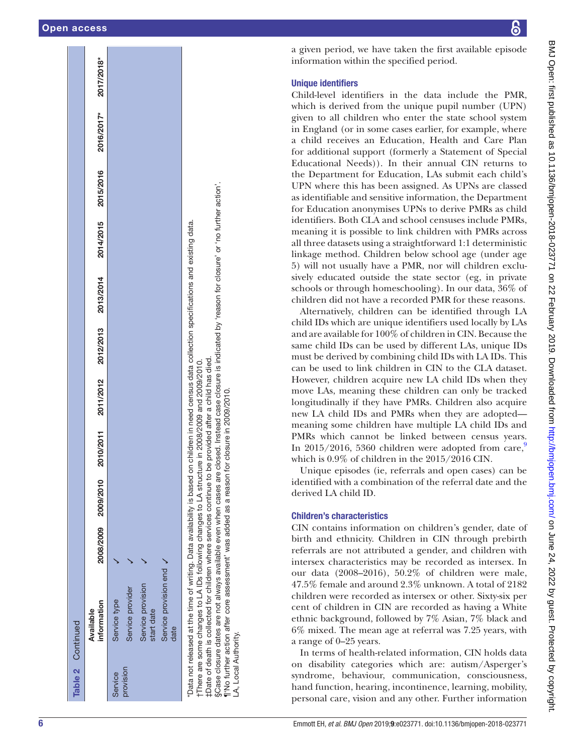|           | Table 2 Continued                                                                                                                                                                                                                                                                                                                                                                                                                                                                                         |                     |                          |           |           |                                                                                           |           |           |            |            |
|-----------|-----------------------------------------------------------------------------------------------------------------------------------------------------------------------------------------------------------------------------------------------------------------------------------------------------------------------------------------------------------------------------------------------------------------------------------------------------------------------------------------------------------|---------------------|--------------------------|-----------|-----------|-------------------------------------------------------------------------------------------|-----------|-----------|------------|------------|
|           | information<br>Available                                                                                                                                                                                                                                                                                                                                                                                                                                                                                  | 2008/2009 2009/2010 | 2010/2011                | 2011/2012 | 2012/2013 | 2013/2014                                                                                 | 2014/2015 | 2015/2016 | 2016/2017* | 2017/2018* |
| Service   | Service type                                                                                                                                                                                                                                                                                                                                                                                                                                                                                              |                     |                          |           |           |                                                                                           |           |           |            |            |
| provision | Service provider                                                                                                                                                                                                                                                                                                                                                                                                                                                                                          |                     |                          |           |           |                                                                                           |           |           |            |            |
|           | Service provision<br>start date                                                                                                                                                                                                                                                                                                                                                                                                                                                                           |                     |                          |           |           |                                                                                           |           |           |            |            |
|           | Service provision end /<br>date                                                                                                                                                                                                                                                                                                                                                                                                                                                                           |                     |                          |           |           |                                                                                           |           |           |            |            |
|           | 'Data not released at the time of writing. Data availability is based on children in need census data collection specifications and existing data.<br>tDate of death is collected for children where services continue to be provided after a child has died.<br>There are some changes to LA IDs following changes to LA structure in 2008/2009 and 2009/2010.<br>§Case closure dates are not always available even when cases are<br>"TNo further action after core assessment' was added as a reason f |                     | or closure in 2009/2010. |           |           | closed. Instead case closure is indicated by 'reason for closure' or 'no further action'. |           |           |            |            |

a given period, we have taken the first available episode information within the specified period.

# Unique identifiers

Child-level identifiers in the data include the PMR, which is derived from the unique pupil number (UPN) given to all children who enter the state school system in England (or in some cases earlier, for example, where a child receives an Education, Health and Care Plan for additional support (formerly a Statement of Special Educational Needs)). In their annual CIN returns to the Department for Education, LAs submit each child's UPN where this has been assigned. As UPNs are classed as identifiable and sensitive information, the Department for Education anonymises UPNs to derive PMRs as child identifiers. Both CLA and school censuses include PMRs, meaning it is possible to link children with PMRs across all three datasets using a straightforward 1:1 deterministic linkage method. Children below school age (under age 5) will not usually have a PMR, nor will children exclu sively educated outside the state sector (eg, in private schools or through homeschooling). In our data, 36% of children did not have a recorded PMR for these reasons.

Alternatively, children can be identified through LA child IDs which are unique identifiers used locally by LAs and are available for 100% of children in CIN. Because the same child IDs can be used by different LAs, unique IDs must be derived by combining child IDs with LA IDs. This can be used to link children in CIN to the CLA dataset. However, children acquire new LA child IDs when they move LAs, meaning these children can only be tracked longitudinally if they have PMRs. Children also acquire new LA child IDs and PMRs when they are adopted meaning some children have multiple LA child IDs and PMRs which cannot be linked between census years. In 2015/2016, 5360 children were adopted from care, which is 0.9% of children in the 2015/2016 CIN.

Unique episodes (ie, referrals and open cases) can be identified with a combination of the referral date and the derived LA child ID.

# Children's characteristics

LA, Local Authority.

A. Local Authority

CIN contains information on children's gender, date of birth and ethnicity. Children in CIN through prebirth referrals are not attributed a gender, and children with intersex characteristics may be recorded as intersex. In our data (2008–2016), 50.2% of children were male, 47.5% female and around 2.3% unknown. A total of 2182 children were recorded as intersex or other. Sixty-six per cent of children in CIN are recorded as having a White ethnic background, followed by 7% Asian, 7% black and 6% mixed. The mean age at referral was 7.25 years, with a range of 0–25 years.

In terms of health-related information, CIN holds data on disability categories which are: autism/Asperger's syndrome, behaviour, communication, consciousness, hand function, hearing, incontinence, learning, mobility, personal care, vision and any other. Further information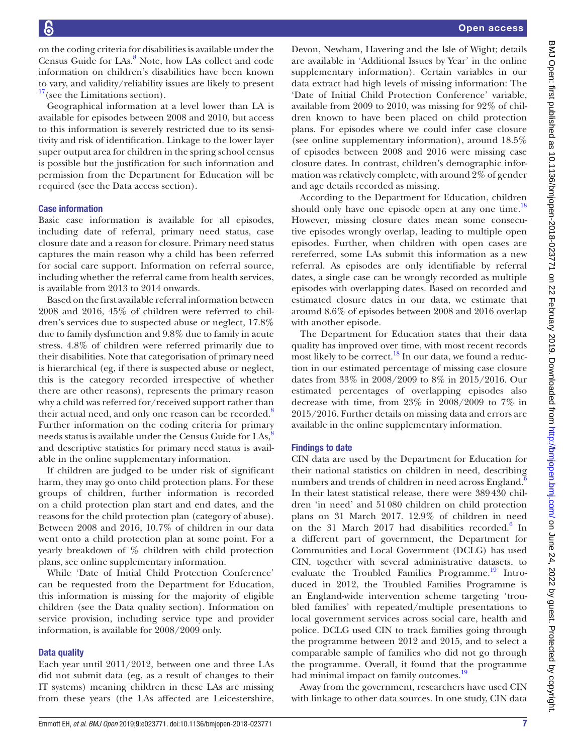on the coding criteria for disabilities is available under the Census Guide for LAs.<sup>[8](#page-8-6)</sup> Note, how LAs collect and code information on children's disabilities have been known to vary, and validity/reliability issues are likely to present  $17$  (see the Limitations section).

Geographical information at a level lower than LA is available for episodes between 2008 and 2010, but access to this information is severely restricted due to its sensitivity and risk of identification. Linkage to the lower layer super output area for children in the spring school census is possible but the justification for such information and permission from the Department for Education will be required (see the Data access section).

## Case information

Basic case information is available for all episodes, including date of referral, primary need status, case closure date and a reason for closure. Primary need status captures the main reason why a child has been referred for social care support. Information on referral source, including whether the referral came from health services, is available from 2013 to 2014 onwards.

Based on the first available referral information between 2008 and 2016, 45% of children were referred to children's services due to suspected abuse or neglect, 17.8% due to family dysfunction and 9.8% due to family in acute stress. 4.8% of children were referred primarily due to their disabilities. Note that categorisation of primary need is hierarchical (eg, if there is suspected abuse or neglect, this is the category recorded irrespective of whether there are other reasons), represents the primary reason why a child was referred for/received support rather than their actual need, and only one reason can be recorded.<sup>[8](#page-8-6)</sup> Further information on the coding criteria for primary needs status is available under the Census Guide for  $\text{LAS}^3$ , and descriptive statistics for primary need status is available in the online supplementary information.

If children are judged to be under risk of significant harm, they may go onto child protection plans. For these groups of children, further information is recorded on a child protection plan start and end dates, and the reasons for the child protection plan (category of abuse). Between 2008 and 2016, 10.7% of children in our data went onto a child protection plan at some point. For a yearly breakdown of % children with child protection plans, see online [supplementary information.](https://dx.doi.org/10.1136/bmjopen-2018-023771)

While 'Date of Initial Child Protection Conference' can be requested from the Department for Education, this information is missing for the majority of eligible children (see the Data quality section). Information on service provision, including service type and provider information, is available for 2008/2009 only.

## Data quality

Each year until 2011/2012, between one and three LAs did not submit data (eg, as a result of changes to their IT systems) meaning children in these LAs are missing from these years (the LAs affected are Leicestershire,

Devon, Newham, Havering and the Isle of Wight; details are available in 'Additional Issues by Year' in the online [supplementary information](https://dx.doi.org/10.1136/bmjopen-2018-023771)). Certain variables in our data extract had high levels of missing information: The 'Date of Initial Child Protection Conference' variable, available from 2009 to 2010, was missing for 92% of children known to have been placed on child protection plans. For episodes where we could infer case closure (see online [supplementary information](https://dx.doi.org/10.1136/bmjopen-2018-023771)), around 18.5% of episodes between 2008 and 2016 were missing case closure dates. In contrast, children's demographic information was relatively complete, with around 2% of gender and age details recorded as missing.

According to the Department for Education, children should only have one episode open at any one time. $^{18}$  $^{18}$  $^{18}$ However, missing closure dates mean some consecutive episodes wrongly overlap, leading to multiple open episodes. Further, when children with open cases are rereferred, some LAs submit this information as a new referral. As episodes are only identifiable by referral dates, a single case can be wrongly recorded as multiple episodes with overlapping dates. Based on recorded and estimated closure dates in our data, we estimate that around 8.6% of episodes between 2008 and 2016 overlap with another episode.

The Department for Education states that their data quality has improved over time, with most recent records most likely to be correct.<sup>18</sup> In our data, we found a reduction in our estimated percentage of missing case closure dates from 33% in 2008/2009 to 8% in 2015/2016. Our estimated percentages of overlapping episodes also decrease with time, from 23% in 2008/2009 to 7% in 2015/2016. Further details on missing data and errors are available in the online supplementary information.

## Findings to date

CIN data are used by the Department for Education for their national statistics on children in need, describing numbers and trends of children in need across England.<sup>6</sup> In their latest statistical release, there were 389430 children 'in need' and 51080 children on child protection plans on 31 March 2017. 12.9% of children in need on the 31 March 2017 had disabilities recorded.<sup>[6](#page-8-4)</sup> In a different part of government, the Department for Communities and Local Government (DCLG) has used CIN, together with several administrative datasets, to evaluate the Troubled Families Programme.<sup>19</sup> Introduced in 2012, the Troubled Families Programme is an England-wide intervention scheme targeting 'troubled families' with repeated/multiple presentations to local government services across social care, health and police. DCLG used CIN to track families going through the programme between 2012 and 2015, and to select a comparable sample of families who did not go through the programme. Overall, it found that the programme had minimal impact on family outcomes.<sup>19</sup>

Away from the government, researchers have used CIN with linkage to other data sources. In one study, CIN data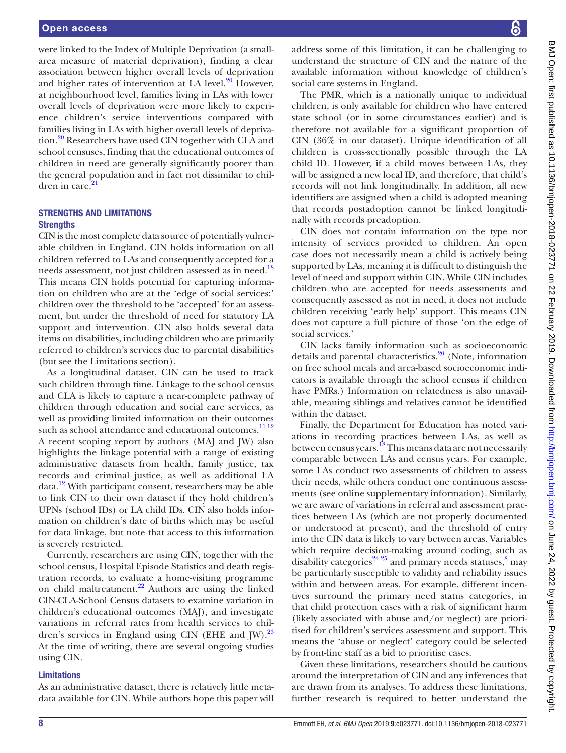were linked to the Index of Multiple Deprivation (a smallarea measure of material deprivation), finding a clear association between higher overall levels of deprivation and higher rates of intervention at LA level.<sup>20</sup> However, at neighbourhood level, families living in LAs with lower overall levels of deprivation were more likely to experience children's service interventions compared with families living in LAs with higher overall levels of deprivation.<sup>20</sup> Researchers have used CIN together with CLA and school censuses, finding that the educational outcomes of children in need are generally significantly poorer than the general population and in fact not dissimilar to children in care. $21$ 

# Strengths and limitations **Strengths**

CIN is the most complete data source of potentially vulnerable children in England. CIN holds information on all children referred to LAs and consequently accepted for a needs assessment, not just children assessed as in need.<sup>18</sup> This means CIN holds potential for capturing information on children who are at the 'edge of social services:' children over the threshold to be 'accepted' for an assessment, but under the threshold of need for statutory LA support and intervention. CIN also holds several data items on disabilities, including children who are primarily referred to children's services due to parental disabilities (but see the Limitations section).

As a longitudinal dataset, CIN can be used to track such children through time. Linkage to the school census and CLA is likely to capture a near-complete pathway of children through education and social care services, as well as providing limited information on their outcomes such as school attendance and educational outcomes.<sup>[11 12](#page-9-0)</sup> A recent scoping report by authors (MAJ and JW) also highlights the linkage potential with a range of existing administrative datasets from health, family justice, tax records and criminal justice, as well as additional LA data.[12](#page-9-9) With participant consent, researchers may be able to link CIN to their own dataset if they hold children's UPNs (school IDs) or LA child IDs. CIN also holds information on children's date of births which may be useful for data linkage, but note that access to this information is severely restricted.

Currently, researchers are using CIN, together with the school census, Hospital Episode Statistics and death registration records, to evaluate a home-visiting programme on child maltreatment. $^{22}$  Authors are using the linked CIN-CLA-School Census datasets to examine variation in children's educational outcomes (MAJ), and investigate variations in referral rates from health services to children's services in England using CIN (EHE and  $\text{[W]}$ .<sup>23</sup> At the time of writing, there are several ongoing studies using CIN.

## **Limitations**

As an administrative dataset, there is relatively little metadata available for CIN. While authors hope this paper will

address some of this limitation, it can be challenging to understand the structure of CIN and the nature of the available information without knowledge of children's social care systems in England.

The PMR, which is a nationally unique to individual children, is only available for children who have entered state school (or in some circumstances earlier) and is therefore not available for a significant proportion of CIN (36% in our dataset). Unique identification of all children is cross-sectionally possible through the LA child ID. However, if a child moves between LAs, they will be assigned a new local ID, and therefore, that child's records will not link longitudinally. In addition, all new identifiers are assigned when a child is adopted meaning that records postadoption cannot be linked longitudinally with records preadoption.

CIN does not contain information on the type nor intensity of services provided to children. An open case does not necessarily mean a child is actively being supported by LAs, meaning it is difficult to distinguish the level of need and support within CIN. While CIN includes children who are accepted for needs assessments and consequently assessed as not in need, it does not include children receiving 'early help' support. This means CIN does not capture a full picture of those 'on the edge of social services.'

CIN lacks family information such as socioeconomic details and parental characteristics.<sup>20</sup> (Note, information on free school meals and area-based socioeconomic indicators is available through the school census if children have PMRs.) Information on relatedness is also unavailable, meaning siblings and relatives cannot be identified within the dataset.

Finally, the Department for Education has noted variations in recording practices between LAs, as well as between census years.<sup>18</sup> This means data are not necessarily comparable between LAs and census years. For example, some LAs conduct two assessments of children to assess their needs, while others conduct one continuous assessments (see online [supplementary information\)](https://dx.doi.org/10.1136/bmjopen-2018-023771). Similarly, we are aware of variations in referral and assessment practices between LAs (which are not properly documented or understood at present), and the threshold of entry into the CIN data is likely to vary between areas. Variables which require decision-making around coding, such as disability categories<sup>24 25</sup> and primary needs statuses,  $\frac{8}{3}$  $\frac{8}{3}$  $\frac{8}{3}$  may be particularly susceptible to validity and reliability issues within and between areas. For example, different incentives surround the primary need status categories, in that child protection cases with a risk of significant harm (likely associated with abuse and/or neglect) are prioritised for children's services assessment and support. This means the 'abuse or neglect' category could be selected by front-line staff as a bid to prioritise cases.

Given these limitations, researchers should be cautious around the interpretation of CIN and any inferences that are drawn from its analyses. To address these limitations, further research is required to better understand the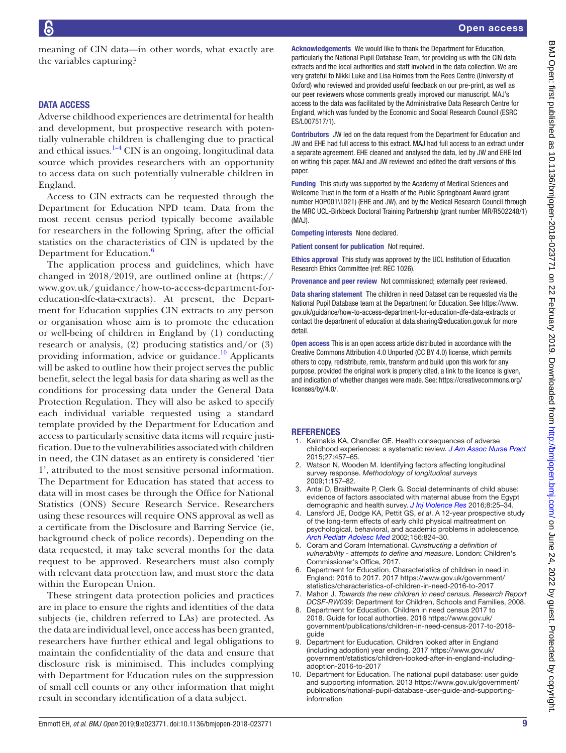meaning of CIN data—in other words, what exactly are the variables capturing?

## DATA ACCESS

Adverse childhood experiences are detrimental for health and development, but prospective research with potentially vulnerable children is challenging due to practical and ethical issues. $1-4$  CIN is an ongoing, longitudinal data source which provides researchers with an opportunity to access data on such potentially vulnerable children in England.

Access to CIN extracts can be requested through the Department for Education NPD team. Data from the most recent census period typically become available for researchers in the following Spring, after the official statistics on the characteristics of CIN is updated by the Department for Education.<sup>[6](#page-8-4)</sup>

The application process and guidelines, which have changed in 2018/2019, are outlined online at [\(https://](https://www.gov.uk/guidance/how-to-access-department-for-education-dfe-data-extracts) [www.gov.uk/guidance/how-to-access-department-for](https://www.gov.uk/guidance/how-to-access-department-for-education-dfe-data-extracts)[education-dfe-data-extracts](https://www.gov.uk/guidance/how-to-access-department-for-education-dfe-data-extracts)). At present, the Department for Education supplies CIN extracts to any person or organisation whose aim is to promote the education or well-being of children in England by (1) conducting research or analysis, (2) producing statistics and/or (3) providing information, advice or guidance. $^{10}$  Applicants will be asked to outline how their project serves the public benefit, select the legal basis for data sharing as well as the conditions for processing data under the General Data Protection Regulation. They will also be asked to specify each individual variable requested using a standard template provided by the Department for Education and access to particularly sensitive data items will require justification. Due to the vulnerabilities associated with children in need, the CIN dataset as an entirety is considered 'tier 1', attributed to the most sensitive personal information. The Department for Education has stated that access to data will in most cases be through the Office for National Statistics (ONS) Secure Research Service. Researchers using these resources will require ONS approval as well as a certificate from the Disclosure and Barring Service (ie, background check of police records). Depending on the data requested, it may take several months for the data request to be approved. Researchers must also comply with relevant data protection law, and must store the data within the European Union.

These stringent data protection policies and practices are in place to ensure the rights and identities of the data subjects (ie, children referred to LAs) are protected. As the data are individual level, once access has been granted, researchers have further ethical and legal obligations to maintain the confidentiality of the data and ensure that disclosure risk is minimised. This includes complying with Department for Education rules on the suppression of small cell counts or any other information that might result in secondary identification of a data subject.

Acknowledgements We would like to thank the Department for Education, particularly the National Pupil Database Team, for providing us with the CIN data extracts and the local authorities and staff involved in the data collection. We are very grateful to Nikki Luke and Lisa Holmes from the Rees Centre (University of Oxford) who reviewed and provided useful feedback on our pre-print, as well as our peer reviewers whose comments greatly improved our manuscript. MAJ's access to the data was facilitated by the Administrative Data Research Centre for England, which was funded by the Economic and Social Research Council (ESRC ES/L007517/1).

Contributors JW led on the data request from the Department for Education and JW and EHE had full access to this extract. MAJ had full access to an extract under a separate agreement. EHE cleaned and analysed the data, led by JW and EHE led on writing this paper. MAJ and JW reviewed and edited the draft versions of this paper.

Funding This study was supported by the Academy of Medical Sciences and Wellcome Trust in the form of a Health of the Public Springboard Award (grant number HOP001\1021) (EHE and JW), and by the Medical Research Council through the MRC UCL-Birkbeck Doctoral Training Partnership (grant number MR/R502248/1) (MAJ).

Competing interests None declared.

Patient consent for publication Not required.

Ethics approval This study was approved by the UCL Institution of Education Research Ethics Committee (ref: REC 1026).

Provenance and peer review Not commissioned; externally peer reviewed.

Data sharing statement The children in need Dataset can be requested via the National Pupil Database team at the Department for Education. See [https://www.](https://www.gov.uk/guidance/how-to-access-department-for-education-dfe-data-extracts) [gov.uk/guidance/how-to-access-department-for-education-dfe-data-extracts](https://www.gov.uk/guidance/how-to-access-department-for-education-dfe-data-extracts) or contact the department of education at data.sharing@education.gov.uk for more detail.

Open access This is an open access article distributed in accordance with the Creative Commons Attribution 4.0 Unported (CC BY 4.0) license, which permits others to copy, redistribute, remix, transform and build upon this work for any purpose, provided the original work is properly cited, a link to the licence is given, and indication of whether changes were made. See: [https://creativecommons.org/](https://creativecommons.org/licenses/by/4.0/) [licenses/by/4.0/](https://creativecommons.org/licenses/by/4.0/).

#### **REFERENCES**

- <span id="page-8-0"></span>1. Kalmakis KA, Chandler GE. Health consequences of adverse childhood experiences: a systematic review. *[J Am Assoc Nurse Pract](http://dx.doi.org/10.1002/2327-6924.12215)* 2015;27:457–65.
- <span id="page-8-1"></span>2. Watson N, Wooden M. Identifying factors affecting longitudinal survey response. *Methodology of longitudinal surveys* 2009;1:157–82.
- 3. Antai D, Braithwaite P, Clerk G. Social determinants of child abuse: evidence of factors associated with maternal abuse from the Egypt demographic and health survey. *[J Inj Violence Res](http://dx.doi.org/10.5249/jivr.v8i1.630)* 2016;8:25–34.
- <span id="page-8-2"></span>4. Lansford JE, Dodge KA, Pettit GS, *et al*. A 12-year prospective study of the long-term effects of early child physical maltreatment on psychological, behavioral, and academic problems in adolescence. *[Arch Pediatr Adolesc Med](http://dx.doi.org/10.1001/archpedi.156.8.824)* 2002;156:824–30.
- <span id="page-8-3"></span>5. Coram and Coram International. *Cunstructing a definition of vulnerability - attempts to define and measure*. London: Children's Commissioner's Office, 2017.
- <span id="page-8-4"></span>6. Department for Education. Characteristics of children in need in England: 2016 to 2017. 2017 [https://www.gov.uk/government/](https://www.gov.uk/government/statistics/characteristics-of-children-in-need-2016-to-2017) [statistics/characteristics-of-children-in-need-2016-to-2017](https://www.gov.uk/government/statistics/characteristics-of-children-in-need-2016-to-2017)
- <span id="page-8-5"></span>7. Mahon J. *Towards the new children in need census. Research Report DCSF-RW039*: Department for Children, Schools and Families, 2008.
- <span id="page-8-6"></span>8. Department for Education. Children in need census 2017 to 2018. Guide for local authorties. 2016 [https://www.gov.uk/](https://www.gov.uk/government/publications/children-in-need-census-2017-to-2018-guide) [government/publications/children-in-need-census-2017-to-2018](https://www.gov.uk/government/publications/children-in-need-census-2017-to-2018-guide) [guide](https://www.gov.uk/government/publications/children-in-need-census-2017-to-2018-guide)
- <span id="page-8-8"></span>9. Department for Euducation. Children looked after in England (including adoption) year ending. 2017 [https://www.gov.uk/](https://www.gov.uk/government/statistics/children-looked-after-in-england-including-adoption-2016-to-2017) [government/statistics/children-looked-after-in-england-including](https://www.gov.uk/government/statistics/children-looked-after-in-england-including-adoption-2016-to-2017)[adoption-2016-to-2017](https://www.gov.uk/government/statistics/children-looked-after-in-england-including-adoption-2016-to-2017)
- <span id="page-8-7"></span>10. Department for Education. The national pupil database: user guide and supporting information. 2013 [https://www.gov.uk/government/](https://www.gov.uk/government/publications/national-pupil-database-user-guide-and-supporting-information) [publications/national-pupil-database-user-guide-and-supporting](https://www.gov.uk/government/publications/national-pupil-database-user-guide-and-supporting-information)[information](https://www.gov.uk/government/publications/national-pupil-database-user-guide-and-supporting-information)